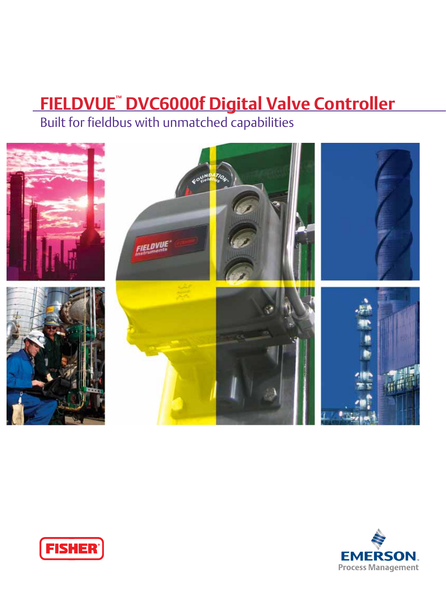## **FIELDVUE™ DVC6000f Digital Valve Controller**

Built for fieldbus with unmatched capabilities





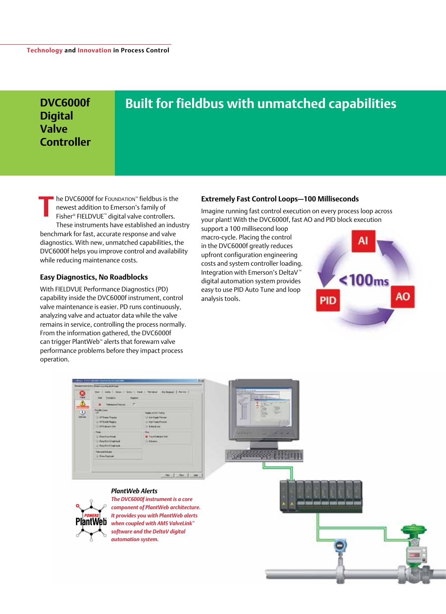### **Digital Valve Controller**

# **DVC6000f Built for fieldbus with unmatched capabilities**

he DVC6000f for FOUNDATION™ fieldbus is the newest addition to Emerson's family of Fisher® FIELDVUE™ digital valve controllers. These instruments have established an industry benchmark for fast, accurate response and valve diagnostics. With new, unmatched capabilities, the DVC6000f helps you improve control and availability while reducing maintenance costs. **T**

#### **Easy Diagnostics, No Roadblocks**

With FIELDVUE Performance Diagnostics (PD) capability inside the DVC6000f instrument, control valve maintenance is easier. PD runs continuously, analyzing valve and actuator data while the valve remains in service, controlling the process normally. From the information gathered, the DVC6000f can trigger PlantWeb™ alerts that forewarn valve performance problems before they impact process operation.

#### **Extremely Fast Control Loops—100 Milliseconds**

Imagine running fast control execution on every process loop across your plant! With the DVC6000f, fast AO and PID block execution

support a 100 millisecond loop macro-cycle. Placing the control in the DVC6000f greatly reduces upfront configuration engineering costs and system controller loading. Integration with Emerson's DeltaV ™ digital automation system provides easy to use PID Auto Tune and loop analysis tools.



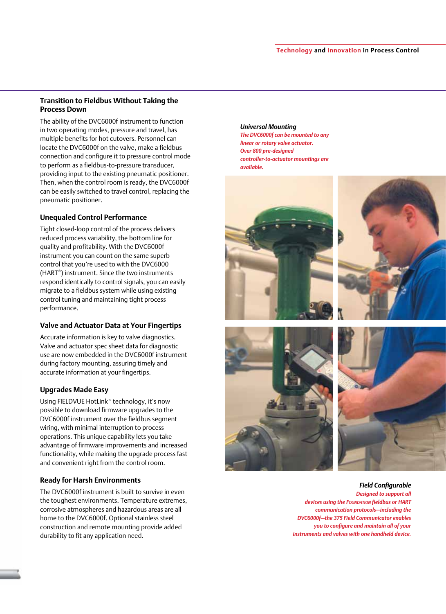#### **Transition to Fieldbus Without Taking the Process Down**

The ability of the DVC6000f instrument to function in two operating modes, pressure and travel, has multiple benefits for hot cutovers. Personnel can locate the DVC6000f on the valve, make a fieldbus connection and configure it to pressure control mode to perform as a fieldbus-to-pressure transducer, providing input to the existing pneumatic positioner. Then, when the control room is ready, the DVC6000f can be easily switched to travel control, replacing the pneumatic positioner.

#### **Unequaled Control Performance**

Tight closed-loop control of the process delivers reduced process variability, the bottom line for quality and profitability. With the DVC6000f instrument you can count on the same superb control that you're used to with the DVC6000 (HART®) instrument. Since the two instruments respond identically to control signals, you can easily migrate to a fieldbus system while using existing control tuning and maintaining tight process performance.

#### **Valve and Actuator Data at Your Fingertips**

Accurate information is key to valve diagnostics. Valve and actuator spec sheet data for diagnostic use are now embedded in the DVC6000f instrument during factory mounting, assuring timely and accurate information at your fingertips.

#### **Upgrades Made Easy**

Using FIELDVUE HotLink<sup>™</sup> technology, it's now possible to download firmware upgrades to the DVC6000f instrument over the fieldbus segment wiring, with minimal interruption to process operations. This unique capability lets you take advantage of firmware improvements and increased functionality, while making the upgrade process fast and convenient right from the control room.

#### **Ready for Harsh Environments**

The DVC6000f instrument is built to survive in even the toughest environments. Temperature extremes, corrosive atmospheres and hazardous areas are all home to the DVC6000f. Optional stainless steel construction and remote mounting provide added durability to fit any application need.

#### *Universal Mounting*

*The DVC6000f can be mounted to any linear or rotary valve actuator. Over 800 pre-designed controller-to-actuator mountings are available.* 









#### *Field Configurable*

*Designed to support all devices using the Foundation fieldbus or HART communication protocols—including the DVC6000f—the 375 Field Communicator enables you to configure and maintain all of your instruments and valves with one handheld device.*